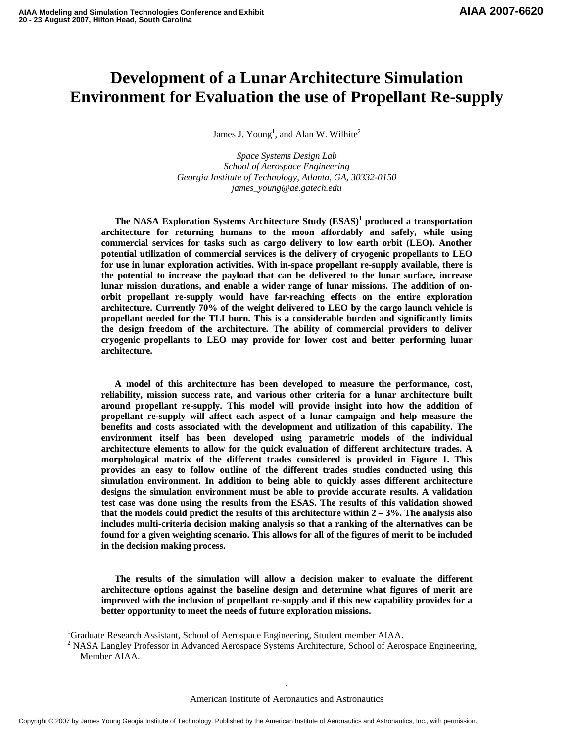# **Development of a Lunar Architecture Simulation Environment for Evaluation the use of Propellant Re-supply**

James J. Young<sup>1</sup>, and Alan W. Wilhite<sup>2</sup>

*Space Systems Design Lab School of Aerospace Engineering Georgia Institute of Technology, Atlanta, GA, 30332-0150 james\_young@ae.gatech.edu* 

**The NASA Exploration Systems Architecture Study (ESAS)<sup>1</sup> produced a transportation architecture for returning humans to the moon affordably and safely, while using commercial services for tasks such as cargo delivery to low earth orbit (LEO). Another potential utilization of commercial services is the delivery of cryogenic propellants to LEO for use in lunar exploration activities. With in-space propellant re-supply available, there is the potential to increase the payload that can be delivered to the lunar surface, increase lunar mission durations, and enable a wider range of lunar missions. The addition of onorbit propellant re-supply would have far-reaching effects on the entire exploration architecture. Currently 70% of the weight delivered to LEO by the cargo launch vehicle is propellant needed for the TLI burn. This is a considerable burden and significantly limits the design freedom of the architecture. The ability of commercial providers to deliver cryogenic propellants to LEO may provide for lower cost and better performing lunar architecture.** 

**A model of this architecture has been developed to measure the performance, cost, reliability, mission success rate, and various other criteria for a lunar architecture built around propellant re-supply. This model will provide insight into how the addition of propellant re-supply will affect each aspect of a lunar campaign and help measure the benefits and costs associated with the development and utilization of this capability. The environment itself has been developed using parametric models of the individual architecture elements to allow for the quick evaluation of different architecture trades. A morphological matrix of the different trades considered is provided in Figure 1. This provides an easy to follow outline of the different trades studies conducted using this simulation environment. In addition to being able to quickly asses different architecture designs the simulation environment must be able to provide accurate results. A validation test case was done using the results from the ESAS. The results of this validation showed that the models could predict the results of this architecture within 2 – 3%. The analysis also includes multi-criteria decision making analysis so that a ranking of the alternatives can be found for a given weighting scenario. This allows for all of the figures of merit to be included in the decision making process.** 

**The results of the simulation will allow a decision maker to evaluate the different architecture options against the baseline design and determine what figures of merit are improved with the inclusion of propellant re-supply and if this new capability provides for a better opportunity to meet the needs of future exploration missions.** 

<sup>1&</sup>lt;br>
<sup>1</sup>Graduate Research Assistant, School of Aerospace Engineering, Student member AIAA.<br>
<sup>2</sup> NASA Langlay Professor in Advanced Aerospace Systems Architecture, School of Aero

<sup>&</sup>lt;sup>2</sup> NASA Langley Professor in Advanced Aerospace Systems Architecture, School of Aerospace Engineering, Member AIAA.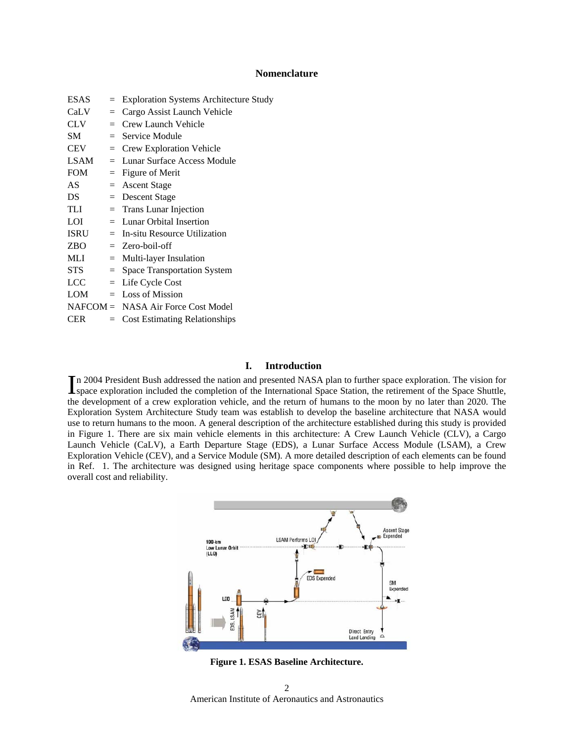# **Nomenclature**

| $=$ | <b>Exploration Systems Architecture Study</b> |
|-----|-----------------------------------------------|
| $=$ | Cargo Assist Launch Vehicle                   |
| $=$ | Crew Launch Vehicle                           |
| $=$ | Service Module                                |
| $=$ | <b>Crew Exploration Vehicle</b>               |
| $=$ | Lunar Surface Access Module                   |
| $=$ | Figure of Merit                               |
|     | $=$ Ascent Stage                              |
|     | $=$ Descent Stage                             |
|     | $=$ Trans Lunar Injection                     |
| $=$ | Lunar Orbital Insertion                       |
| $=$ | In-situ Resource Utilization                  |
|     | $=$ Zero-boil-off                             |
| $=$ | Multi-layer Insulation                        |
| $=$ | <b>Space Transportation System</b>            |
| $=$ | Life Cycle Cost                               |
| $=$ | <b>Loss of Mission</b>                        |
|     | $NAFCOM = NASA Air Force Cost Model$          |
|     | $=$ Cost Estimating Relationships             |
|     |                                               |

# **I. Introduction**

n 2004 President Bush addressed the nation and presented NASA plan to further space exploration. The vision for In 2004 President Bush addressed the nation and presented NASA plan to further space exploration. The vision for space exploration included the completion of the International Space Station, the retirement of the Space Shu the development of a crew exploration vehicle, and the return of humans to the moon by no later than 2020. The Exploration System Architecture Study team was establish to develop the baseline architecture that NASA would use to return humans to the moon. A general description of the architecture established during this study is provided in Figure 1. There are six main vehicle elements in this architecture: A Crew Launch Vehicle (CLV), a Cargo Launch Vehicle (CaLV), a Earth Departure Stage (EDS), a Lunar Surface Access Module (LSAM), a Crew Exploration Vehicle (CEV), and a Service Module (SM). A more detailed description of each elements can be found in Ref. 1. The architecture was designed using heritage space components where possible to help improve the overall cost and reliability.



**Figure 1. ESAS Baseline Architecture.**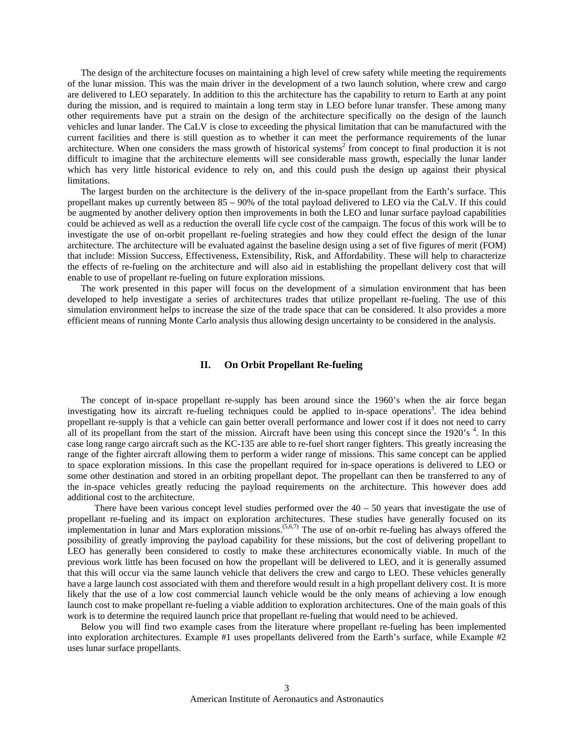The design of the architecture focuses on maintaining a high level of crew safety while meeting the requirements of the lunar mission. This was the main driver in the development of a two launch solution, where crew and cargo are delivered to LEO separately. In addition to this the architecture has the capability to return to Earth at any point during the mission, and is required to maintain a long term stay in LEO before lunar transfer. These among many other requirements have put a strain on the design of the architecture specifically on the design of the launch vehicles and lunar lander. The CaLV is close to exceeding the physical limitation that can be manufactured with the current facilities and there is still question as to whether it can meet the performance requirements of the lunar architecture. When one considers the mass growth of historical systems<sup>2</sup> from concept to final production it is not difficult to imagine that the architecture elements will see considerable mass growth, especially the lunar lander which has very little historical evidence to rely on, and this could push the design up against their physical limitations.

The largest burden on the architecture is the delivery of the in-space propellant from the Earth's surface. This propellant makes up currently between 85 – 90% of the total payload delivered to LEO via the CaLV. If this could be augmented by another delivery option then improvements in both the LEO and lunar surface payload capabilities could be achieved as well as a reduction the overall life cycle cost of the campaign. The focus of this work will be to investigate the use of on-orbit propellant re-fueling strategies and how they could effect the design of the lunar architecture. The architecture will be evaluated against the baseline design using a set of five figures of merit (FOM) that include: Mission Success, Effectiveness, Extensibility, Risk, and Affordability. These will help to characterize the effects of re-fueling on the architecture and will also aid in establishing the propellant delivery cost that will enable to use of propellant re-fueling on future exploration missions.

The work presented in this paper will focus on the development of a simulation environment that has been developed to help investigate a series of architectures trades that utilize propellant re-fueling. The use of this simulation environment helps to increase the size of the trade space that can be considered. It also provides a more efficient means of running Monte Carlo analysis thus allowing design uncertainty to be considered in the analysis.

# **II. On Orbit Propellant Re-fueling**

The concept of in-space propellant re-supply has been around since the 1960's when the air force began investigating how its aircraft re-fueling techniques could be applied to in-space operations<sup>3</sup>. The idea behind propellant re-supply is that a vehicle can gain better overall performance and lower cost if it does not need to carry all of its propellant from the start of the mission. Aircraft have been using this concept since the  $1920$ 's  $4$ . In this case long range cargo aircraft such as the KC-135 are able to re-fuel short ranger fighters. This greatly increasing the range of the fighter aircraft allowing them to perform a wider range of missions. This same concept can be applied to space exploration missions. In this case the propellant required for in-space operations is delivered to LEO or some other destination and stored in an orbiting propellant depot. The propellant can then be transferred to any of the in-space vehicles greatly reducing the payload requirements on the architecture. This however does add additional cost to the architecture.

There have been various concept level studies performed over the  $40 - 50$  years that investigate the use of propellant re-fueling and its impact on exploration architectures. These studies have generally focused on its implementation in lunar and Mars exploration missions.<sup> $(5,6,7)$ </sup> The use of on-orbit re-fueling has always offered the possibility of greatly improving the payload capability for these missions, but the cost of delivering propellant to LEO has generally been considered to costly to make these architectures economically viable. In much of the previous work little has been focused on how the propellant will be delivered to LEO, and it is generally assumed that this will occur via the same launch vehicle that delivers the crew and cargo to LEO. These vehicles generally have a large launch cost associated with them and therefore would result in a high propellant delivery cost. It is more likely that the use of a low cost commercial launch vehicle would be the only means of achieving a low enough launch cost to make propellant re-fueling a viable addition to exploration architectures. One of the main goals of this work is to determine the required launch price that propellant re-fueling that would need to be achieved.

Below you will find two example cases from the literature where propellant re-fueling has been implemented into exploration architectures. Example #1 uses propellants delivered from the Earth's surface, while Example #2 uses lunar surface propellants.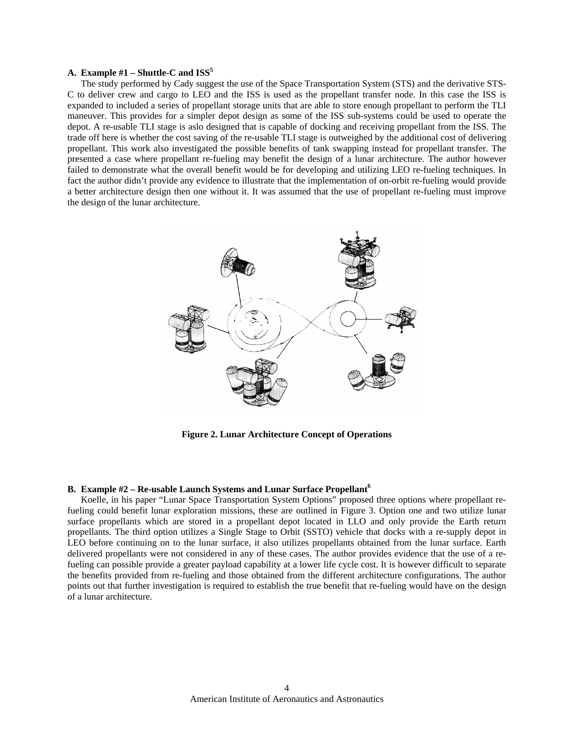# A. **Example**  $#1$  – Shuttle-C and  $ISS<sup>5</sup>$

The study performed by Cady suggest the use of the Space Transportation System (STS) and the derivative STS-C to deliver crew and cargo to LEO and the ISS is used as the propellant transfer node. In this case the ISS is expanded to included a series of propellant storage units that are able to store enough propellant to perform the TLI maneuver. This provides for a simpler depot design as some of the ISS sub-systems could be used to operate the depot. A re-usable TLI stage is aslo designed that is capable of docking and receiving propellant from the ISS. The trade off here is whether the cost saving of the re-usable TLI stage is outweighed by the additional cost of delivering propellant. This work also investigated the possible benefits of tank swapping instead for propellant transfer. The presented a case where propellant re-fueling may benefit the design of a lunar architecture. The author however failed to demonstrate what the overall benefit would be for developing and utilizing LEO re-fueling techniques. In fact the author didn't provide any evidence to illustrate that the implementation of on-orbit re-fueling would provide a better architecture design then one without it. It was assumed that the use of propellant re-fueling must improve the design of the lunar architecture.



**Figure 2. Lunar Architecture Concept of Operations** 

# **B. Example #2** – Re-usable Launch Systems and Lunar Surface Propellant<sup>6</sup>

Koelle, in his paper "Lunar Space Transportation System Options" proposed three options where propellant refueling could benefit lunar exploration missions, these are outlined in Figure 3. Option one and two utilize lunar surface propellants which are stored in a propellant depot located in LLO and only provide the Earth return propellants. The third option utilizes a Single Stage to Orbit (SSTO) vehicle that docks with a re-supply depot in LEO before continuing on to the lunar surface, it also utilizes propellants obtained from the lunar surface. Earth delivered propellants were not considered in any of these cases. The author provides evidence that the use of a refueling can possible provide a greater payload capability at a lower life cycle cost. It is however difficult to separate the benefits provided from re-fueling and those obtained from the different architecture configurations. The author points out that further investigation is required to establish the true benefit that re-fueling would have on the design of a lunar architecture.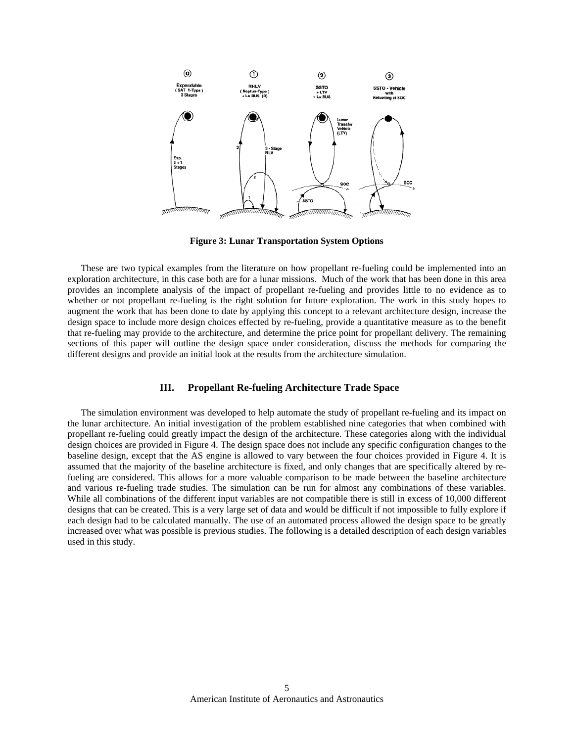

**Figure 3: Lunar Transportation System Options** 

These are two typical examples from the literature on how propellant re-fueling could be implemented into an exploration architecture, in this case both are for a lunar missions. Much of the work that has been done in this area provides an incomplete analysis of the impact of propellant re-fueling and provides little to no evidence as to whether or not propellant re-fueling is the right solution for future exploration. The work in this study hopes to augment the work that has been done to date by applying this concept to a relevant architecture design, increase the design space to include more design choices effected by re-fueling, provide a quantitative measure as to the benefit that re-fueling may provide to the architecture, and determine the price point for propellant delivery. The remaining sections of this paper will outline the design space under consideration, discuss the methods for comparing the different designs and provide an initial look at the results from the architecture simulation.

# **III. Propellant Re-fueling Architecture Trade Space**

The simulation environment was developed to help automate the study of propellant re-fueling and its impact on the lunar architecture. An initial investigation of the problem established nine categories that when combined with propellant re-fueling could greatly impact the design of the architecture. These categories along with the individual design choices are provided in Figure 4. The design space does not include any specific configuration changes to the baseline design, except that the AS engine is allowed to vary between the four choices provided in Figure 4. It is assumed that the majority of the baseline architecture is fixed, and only changes that are specifically altered by refueling are considered. This allows for a more valuable comparison to be made between the baseline architecture and various re-fueling trade studies. The simulation can be run for almost any combinations of these variables. While all combinations of the different input variables are not compatible there is still in excess of 10,000 different designs that can be created. This is a very large set of data and would be difficult if not impossible to fully explore if each design had to be calculated manually. The use of an automated process allowed the design space to be greatly increased over what was possible is previous studies. The following is a detailed description of each design variables used in this study.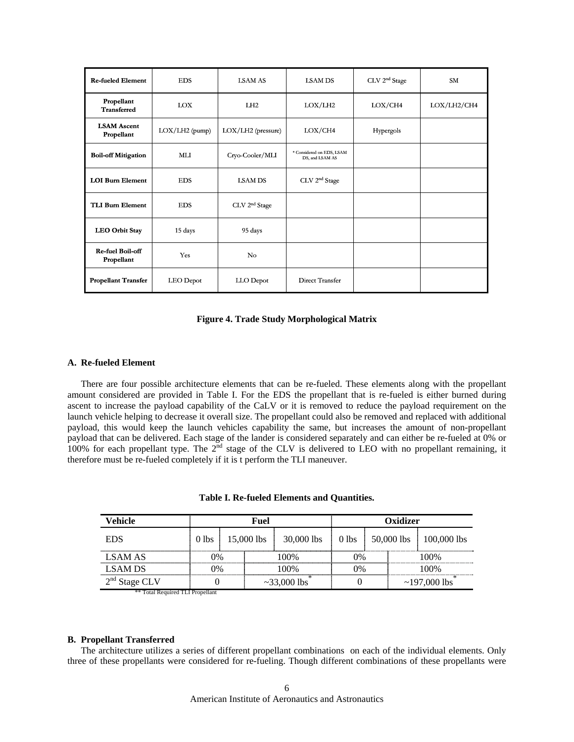| <b>Re-fueled Element</b>         | <b>EDS</b>       | <b>LSAM AS</b>            | <b>LSAM DS</b>                               | CLV 2 <sup>nd</sup> Stage | <b>SM</b>   |
|----------------------------------|------------------|---------------------------|----------------------------------------------|---------------------------|-------------|
| Propellant<br><b>Transferred</b> | LOX              | LH2                       | LOX/LH2                                      | LOX/CH4                   | LOX/LH2/CH4 |
| <b>LSAM Ascent</b><br>Propellant | $LOX/LH2$ (pump) | $LOX/LH2$ (pressure)      | LOX/CH4                                      | Hypergols                 |             |
| <b>Boil-off Mitigation</b>       | MLI              | Cryo-Cooler/MLI           | * Considered on EDS, LSAM<br>DS, and LSAM AS |                           |             |
| <b>LOI Burn Element</b>          | <b>EDS</b>       | <b>LSAM DS</b>            | CLV 2 <sup>nd</sup> Stage                    |                           |             |
| <b>TLI Burn Element</b>          | <b>EDS</b>       | CLV 2 <sup>nd</sup> Stage |                                              |                           |             |
| <b>LEO</b> Orbit Stay            | 15 days          | 95 days                   |                                              |                           |             |
| Re-fuel Boil-off<br>Propellant   | Yes              | No                        |                                              |                           |             |
| <b>Propellant Transfer</b>       | LEO Depot        | LLO Depot                 | Direct Transfer                              |                           |             |

#### **Figure 4. Trade Study Morphological Matrix**

#### **A. Re-fueled Element**

There are four possible architecture elements that can be re-fueled. These elements along with the propellant amount considered are provided in Table I. For the EDS the propellant that is re-fueled is either burned during ascent to increase the payload capability of the CaLV or it is removed to reduce the payload requirement on the launch vehicle helping to decrease it overall size. The propellant could also be removed and replaced with additional payload, this would keep the launch vehicles capability the same, but increases the amount of non-propellant payload that can be delivered. Each stage of the lander is considered separately and can either be re-fueled at 0% or 100% for each propellant type. The  $2^{nd}$  stage of the CLV is delivered to LEO with no propellant remaining, it therefore must be re-fueled completely if it is t perform the TLI maneuver.

| Vehicle                          |                         | Oxidizer<br>Fuel |              |                         |            |  |               |                |  |
|----------------------------------|-------------------------|------------------|--------------|-------------------------|------------|--|---------------|----------------|--|
| <b>EDS</b>                       | $0$ lbs<br>$15,000$ lbs |                  | $30,000$ lbs | $0$ lbs                 | 50,000 lbs |  | $100,000$ lbs |                |  |
| <b>LSAM AS</b>                   | 0%                      |                  | 100%         |                         | 0%         |  |               | 100\%          |  |
| <b>LSAM DS</b>                   | 0%                      |                  |              | 100%                    | 0%         |  |               | 100\%          |  |
| $2nd$ Stage CLV                  |                         |                  |              | ж.<br>$\sim$ 33,000 lbs |            |  |               | $~197,000$ lbs |  |
| ** Total Required TLI Propellant |                         |                  |              |                         |            |  |               |                |  |

**Table I. Re-fueled Elements and Quantities.** 

**B. Propellant Transferred** 

The architecture utilizes a series of different propellant combinations on each of the individual elements. Only three of these propellants were considered for re-fueling. Though different combinations of these propellants were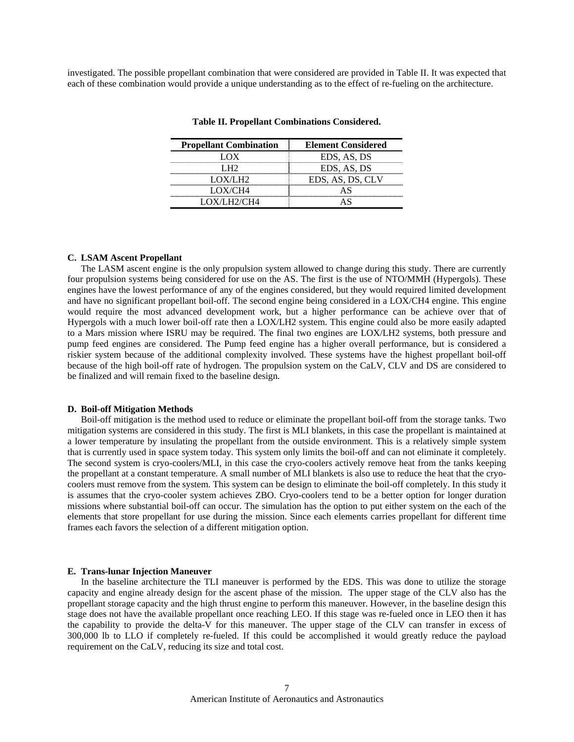investigated. The possible propellant combination that were considered are provided in Table II. It was expected that each of these combination would provide a unique understanding as to the effect of re-fueling on the architecture.

| <b>Propellant Combination</b> | <b>Element Considered</b> |
|-------------------------------|---------------------------|
| $\alpha x$                    | EDS, AS, DS               |
|                               | EDS, AS, DS               |
| LOX/LH2                       | EDS, AS, DS, CLV          |
| LOX/CH4                       |                           |
| LOX/LH2/CH4                   |                           |

#### **Table II. Propellant Combinations Considered.**

#### **C. LSAM Ascent Propellant**

The LASM ascent engine is the only propulsion system allowed to change during this study. There are currently four propulsion systems being considered for use on the AS. The first is the use of NTO/MMH (Hypergols). These engines have the lowest performance of any of the engines considered, but they would required limited development and have no significant propellant boil-off. The second engine being considered in a LOX/CH4 engine. This engine would require the most advanced development work, but a higher performance can be achieve over that of Hypergols with a much lower boil-off rate then a LOX/LH2 system. This engine could also be more easily adapted to a Mars mission where ISRU may be required. The final two engines are LOX/LH2 systems, both pressure and pump feed engines are considered. The Pump feed engine has a higher overall performance, but is considered a riskier system because of the additional complexity involved. These systems have the highest propellant boil-off because of the high boil-off rate of hydrogen. The propulsion system on the CaLV, CLV and DS are considered to be finalized and will remain fixed to the baseline design.

#### **D. Boil-off Mitigation Methods**

Boil-off mitigation is the method used to reduce or eliminate the propellant boil-off from the storage tanks. Two mitigation systems are considered in this study. The first is MLI blankets, in this case the propellant is maintained at a lower temperature by insulating the propellant from the outside environment. This is a relatively simple system that is currently used in space system today. This system only limits the boil-off and can not eliminate it completely. The second system is cryo-coolers/MLI, in this case the cryo-coolers actively remove heat from the tanks keeping the propellant at a constant temperature. A small number of MLI blankets is also use to reduce the heat that the cryocoolers must remove from the system. This system can be design to eliminate the boil-off completely. In this study it is assumes that the cryo-cooler system achieves ZBO. Cryo-coolers tend to be a better option for longer duration missions where substantial boil-off can occur. The simulation has the option to put either system on the each of the elements that store propellant for use during the mission. Since each elements carries propellant for different time frames each favors the selection of a different mitigation option.

#### **E. Trans-lunar Injection Maneuver**

In the baseline architecture the TLI maneuver is performed by the EDS. This was done to utilize the storage capacity and engine already design for the ascent phase of the mission. The upper stage of the CLV also has the propellant storage capacity and the high thrust engine to perform this maneuver. However, in the baseline design this stage does not have the available propellant once reaching LEO. If this stage was re-fueled once in LEO then it has the capability to provide the delta-V for this maneuver. The upper stage of the CLV can transfer in excess of 300,000 lb to LLO if completely re-fueled. If this could be accomplished it would greatly reduce the payload requirement on the CaLV, reducing its size and total cost.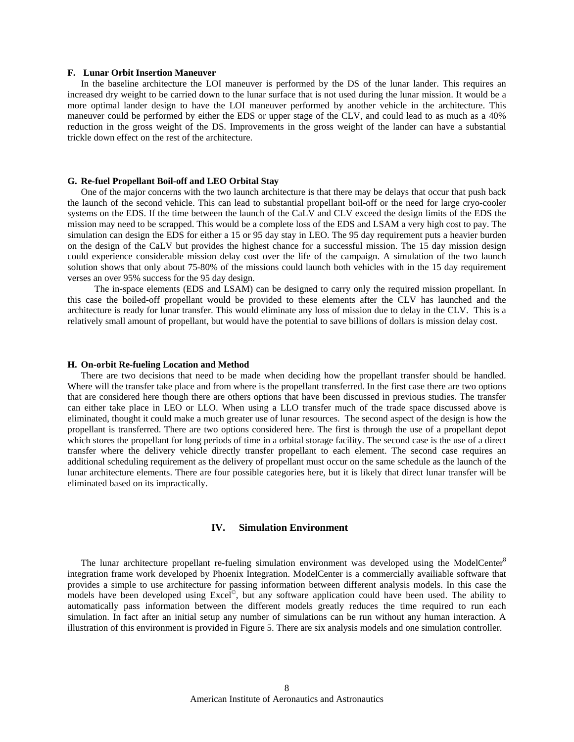# **F. Lunar Orbit Insertion Maneuver**

In the baseline architecture the LOI maneuver is performed by the DS of the lunar lander. This requires an increased dry weight to be carried down to the lunar surface that is not used during the lunar mission. It would be a more optimal lander design to have the LOI maneuver performed by another vehicle in the architecture. This maneuver could be performed by either the EDS or upper stage of the CLV, and could lead to as much as a 40% reduction in the gross weight of the DS. Improvements in the gross weight of the lander can have a substantial trickle down effect on the rest of the architecture.

### **G. Re-fuel Propellant Boil-off and LEO Orbital Stay**

One of the major concerns with the two launch architecture is that there may be delays that occur that push back the launch of the second vehicle. This can lead to substantial propellant boil-off or the need for large cryo-cooler systems on the EDS. If the time between the launch of the CaLV and CLV exceed the design limits of the EDS the mission may need to be scrapped. This would be a complete loss of the EDS and LSAM a very high cost to pay. The simulation can design the EDS for either a 15 or 95 day stay in LEO. The 95 day requirement puts a heavier burden on the design of the CaLV but provides the highest chance for a successful mission. The 15 day mission design could experience considerable mission delay cost over the life of the campaign. A simulation of the two launch solution shows that only about 75-80% of the missions could launch both vehicles with in the 15 day requirement verses an over 95% success for the 95 day design.

 The in-space elements (EDS and LSAM) can be designed to carry only the required mission propellant. In this case the boiled-off propellant would be provided to these elements after the CLV has launched and the architecture is ready for lunar transfer. This would eliminate any loss of mission due to delay in the CLV. This is a relatively small amount of propellant, but would have the potential to save billions of dollars is mission delay cost.

#### **H. On-orbit Re-fueling Location and Method**

There are two decisions that need to be made when deciding how the propellant transfer should be handled. Where will the transfer take place and from where is the propellant transferred. In the first case there are two options that are considered here though there are others options that have been discussed in previous studies. The transfer can either take place in LEO or LLO. When using a LLO transfer much of the trade space discussed above is eliminated, thought it could make a much greater use of lunar resources. The second aspect of the design is how the propellant is transferred. There are two options considered here. The first is through the use of a propellant depot which stores the propellant for long periods of time in a orbital storage facility. The second case is the use of a direct transfer where the delivery vehicle directly transfer propellant to each element. The second case requires an additional scheduling requirement as the delivery of propellant must occur on the same schedule as the launch of the lunar architecture elements. There are four possible categories here, but it is likely that direct lunar transfer will be eliminated based on its impractically.

# **IV. Simulation Environment**

The lunar architecture propellant re-fueling simulation environment was developed using the ModelCenter<sup>8</sup> integration frame work developed by Phoenix Integration. ModelCenter is a commercially availiable software that provides a simple to use architecture for passing information between different analysis models. In this case the models have been developed using Excel©, but any software application could have been used. The ability to automatically pass information between the different models greatly reduces the time required to run each simulation. In fact after an initial setup any number of simulations can be run without any human interaction. A illustration of this environment is provided in Figure 5. There are six analysis models and one simulation controller.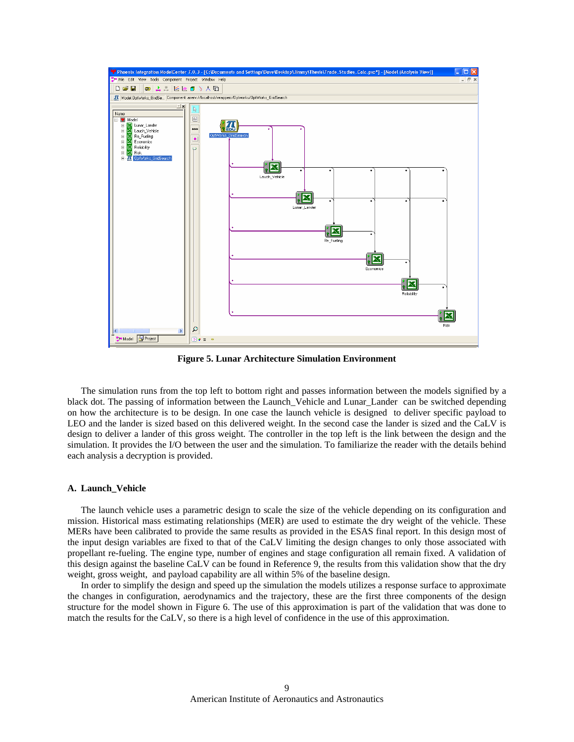

**Figure 5. Lunar Architecture Simulation Environment** 

The simulation runs from the top left to bottom right and passes information between the models signified by a black dot. The passing of information between the Launch\_Vehicle and Lunar\_Lander can be switched depending on how the architecture is to be design. In one case the launch vehicle is designed to deliver specific payload to LEO and the lander is sized based on this delivered weight. In the second case the lander is sized and the CaLV is design to deliver a lander of this gross weight. The controller in the top left is the link between the design and the simulation. It provides the I/O between the user and the simulation. To familiarize the reader with the details behind each analysis a decryption is provided.

#### **A. Launch\_Vehicle**

The launch vehicle uses a parametric design to scale the size of the vehicle depending on its configuration and mission. Historical mass estimating relationships (MER) are used to estimate the dry weight of the vehicle. These MERs have been calibrated to provide the same results as provided in the ESAS final report. In this design most of the input design variables are fixed to that of the CaLV limiting the design changes to only those associated with propellant re-fueling. The engine type, number of engines and stage configuration all remain fixed. A validation of this design against the baseline CaLV can be found in Reference 9, the results from this validation show that the dry weight, gross weight, and payload capability are all within 5% of the baseline design.

In order to simplify the design and speed up the simulation the models utilizes a response surface to approximate the changes in configuration, aerodynamics and the trajectory, these are the first three components of the design structure for the model shown in Figure 6. The use of this approximation is part of the validation that was done to match the results for the CaLV, so there is a high level of confidence in the use of this approximation.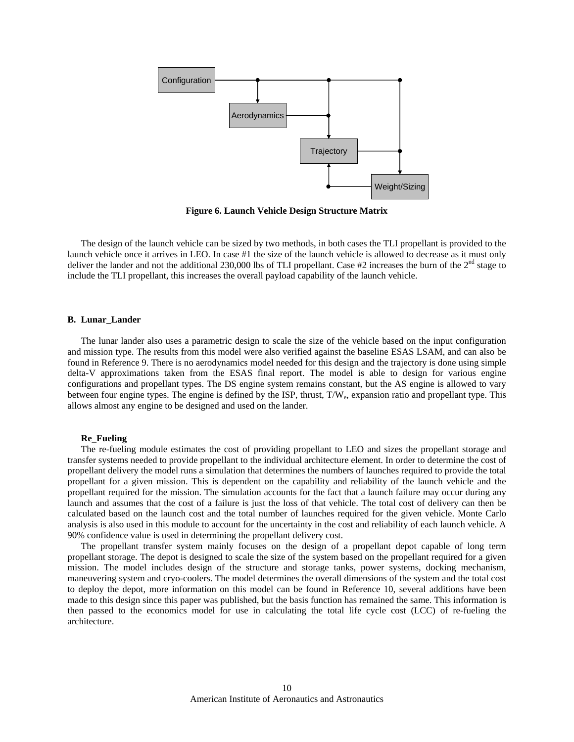

**Figure 6. Launch Vehicle Design Structure Matrix** 

The design of the launch vehicle can be sized by two methods, in both cases the TLI propellant is provided to the launch vehicle once it arrives in LEO. In case #1 the size of the launch vehicle is allowed to decrease as it must only deliver the lander and not the additional 230,000 lbs of TLI propellant. Case #2 increases the burn of the  $2<sup>nd</sup>$  stage to include the TLI propellant, this increases the overall payload capability of the launch vehicle.

#### **B. Lunar\_Lander**

The lunar lander also uses a parametric design to scale the size of the vehicle based on the input configuration and mission type. The results from this model were also verified against the baseline ESAS LSAM, and can also be found in Reference 9. There is no aerodynamics model needed for this design and the trajectory is done using simple delta-V approximations taken from the ESAS final report. The model is able to design for various engine configurations and propellant types. The DS engine system remains constant, but the AS engine is allowed to vary between four engine types. The engine is defined by the ISP, thrust, T/W<sub>e</sub>, expansion ratio and propellant type. This allows almost any engine to be designed and used on the lander.

#### **Re\_Fueling**

The re-fueling module estimates the cost of providing propellant to LEO and sizes the propellant storage and transfer systems needed to provide propellant to the individual architecture element. In order to determine the cost of propellant delivery the model runs a simulation that determines the numbers of launches required to provide the total propellant for a given mission. This is dependent on the capability and reliability of the launch vehicle and the propellant required for the mission. The simulation accounts for the fact that a launch failure may occur during any launch and assumes that the cost of a failure is just the loss of that vehicle. The total cost of delivery can then be calculated based on the launch cost and the total number of launches required for the given vehicle. Monte Carlo analysis is also used in this module to account for the uncertainty in the cost and reliability of each launch vehicle. A 90% confidence value is used in determining the propellant delivery cost.

The propellant transfer system mainly focuses on the design of a propellant depot capable of long term propellant storage. The depot is designed to scale the size of the system based on the propellant required for a given mission. The model includes design of the structure and storage tanks, power systems, docking mechanism, maneuvering system and cryo-coolers. The model determines the overall dimensions of the system and the total cost to deploy the depot, more information on this model can be found in Reference 10, several additions have been made to this design since this paper was published, but the basis function has remained the same. This information is then passed to the economics model for use in calculating the total life cycle cost (LCC) of re-fueling the architecture.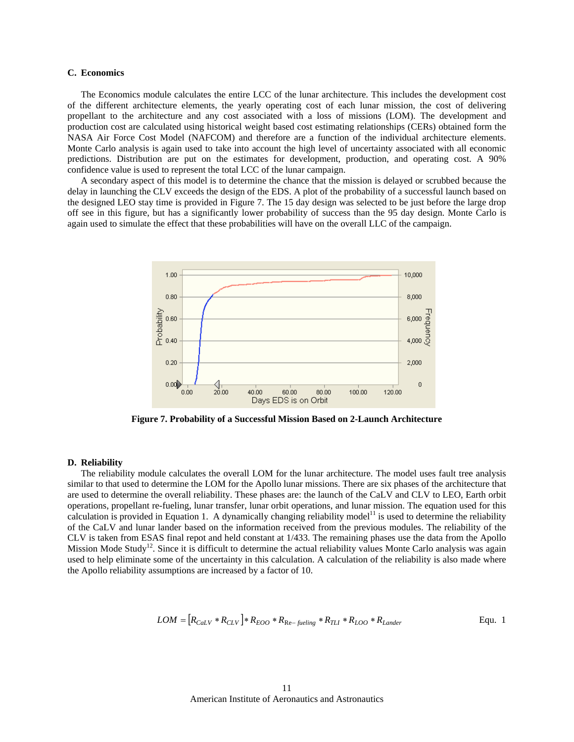# **C. Economics**

The Economics module calculates the entire LCC of the lunar architecture. This includes the development cost of the different architecture elements, the yearly operating cost of each lunar mission, the cost of delivering propellant to the architecture and any cost associated with a loss of missions (LOM). The development and production cost are calculated using historical weight based cost estimating relationships (CERs) obtained form the NASA Air Force Cost Model (NAFCOM) and therefore are a function of the individual architecture elements. Monte Carlo analysis is again used to take into account the high level of uncertainty associated with all economic predictions. Distribution are put on the estimates for development, production, and operating cost. A 90% confidence value is used to represent the total LCC of the lunar campaign.

A secondary aspect of this model is to determine the chance that the mission is delayed or scrubbed because the delay in launching the CLV exceeds the design of the EDS. A plot of the probability of a successful launch based on the designed LEO stay time is provided in Figure 7. The 15 day design was selected to be just before the large drop off see in this figure, but has a significantly lower probability of success than the 95 day design. Monte Carlo is again used to simulate the effect that these probabilities will have on the overall LLC of the campaign.



**Figure 7. Probability of a Successful Mission Based on 2-Launch Architecture** 

#### **D. Reliability**

The reliability module calculates the overall LOM for the lunar architecture. The model uses fault tree analysis similar to that used to determine the LOM for the Apollo lunar missions. There are six phases of the architecture that are used to determine the overall reliability. These phases are: the launch of the CaLV and CLV to LEO, Earth orbit operations, propellant re-fueling, lunar transfer, lunar orbit operations, and lunar mission. The equation used for this calculation is provided in Equation 1. A dynamically changing reliability model<sup>11</sup> is used to determine the reliability of the CaLV and lunar lander based on the information received from the previous modules. The reliability of the CLV is taken from ESAS final repot and held constant at 1/433. The remaining phases use the data from the Apollo Mission Mode Study<sup>12</sup>. Since it is difficult to determine the actual reliability values Monte Carlo analysis was again used to help eliminate some of the uncertainty in this calculation. A calculation of the reliability is also made where the Apollo reliability assumptions are increased by a factor of 10.

$$
LOM = [RCalV * RCLV] * REOO * RRe-fueling * RTLI * RLOO * RLander
$$
 Equ. 1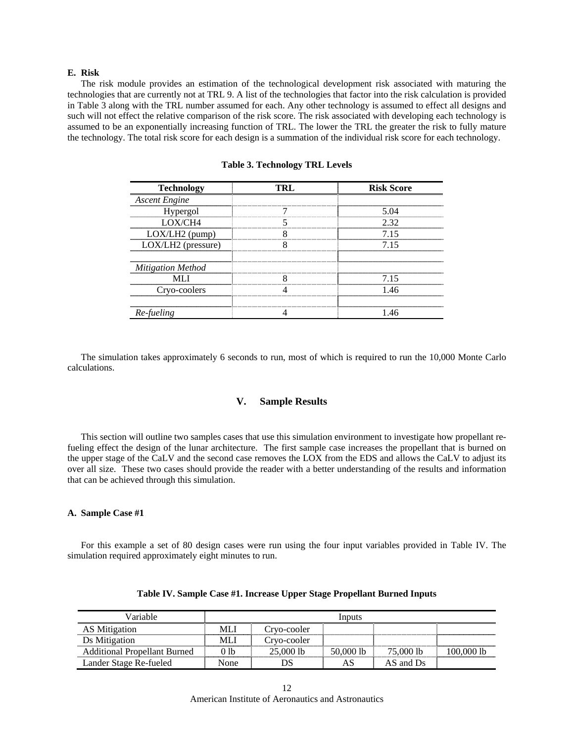# **E. Risk**

 The risk module provides an estimation of the technological development risk associated with maturing the technologies that are currently not at TRL 9. A list of the technologies that factor into the risk calculation is provided in Table 3 along with the TRL number assumed for each. Any other technology is assumed to effect all designs and such will not effect the relative comparison of the risk score. The risk associated with developing each technology is assumed to be an exponentially increasing function of TRL. The lower the TRL the greater the risk to fully mature the technology. The total risk score for each design is a summation of the individual risk score for each technology.

| <b>Technology</b>        | TRL. | <b>Risk Score</b> |
|--------------------------|------|-------------------|
| <b>Ascent Engine</b>     |      |                   |
| Hypergol                 |      |                   |
| I OX/CH4                 |      | ว จว              |
| $LOX/LH2$ (pump)         |      | 7 15              |
| OX/LH2 (pressure)        |      | 715               |
|                          |      |                   |
| <b>Mitigation Method</b> |      |                   |
|                          |      | 15                |
| ∪rvo-coolers             |      |                   |
|                          |      |                   |
| Re-fueling               |      |                   |

**Table 3. Technology TRL Levels** 

 The simulation takes approximately 6 seconds to run, most of which is required to run the 10,000 Monte Carlo calculations.

# **V. Sample Results**

This section will outline two samples cases that use this simulation environment to investigate how propellant refueling effect the design of the lunar architecture. The first sample case increases the propellant that is burned on the upper stage of the CaLV and the second case removes the LOX from the EDS and allows the CaLV to adjust its over all size. These two cases should provide the reader with a better understanding of the results and information that can be achieved through this simulation.

### **A. Sample Case #1**

For this example a set of 80 design cases were run using the four input variables provided in Table IV. The simulation required approximately eight minutes to run.

| Variable                            |      |             | Inputs    |           |            |
|-------------------------------------|------|-------------|-----------|-----------|------------|
| AS Mitigation                       | ML I | Cryo-cooler |           |           |            |
| Ds Mitigation                       | ML J | Crvo-cooler |           |           |            |
| <b>Additional Propellant Burned</b> | 0 lb | 25,000 lb   | 50,000 lb | 75,000 lb | 100.000 lb |
| Lander Stage Re-fueled              | None |             | AS        | AS and Ds |            |

|  |  |  |  |  |  |  |  | Table IV. Sample Case #1. Increase Upper Stage Propellant Burned Inputs |
|--|--|--|--|--|--|--|--|-------------------------------------------------------------------------|
|--|--|--|--|--|--|--|--|-------------------------------------------------------------------------|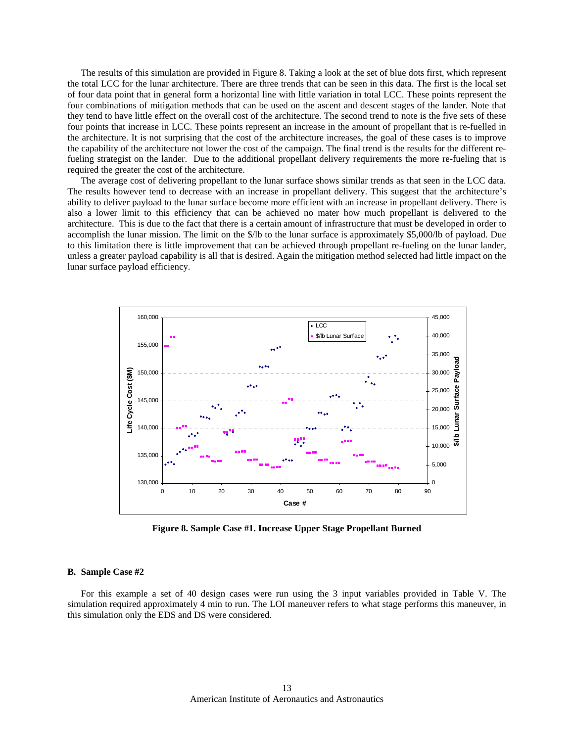The results of this simulation are provided in Figure 8. Taking a look at the set of blue dots first, which represent the total LCC for the lunar architecture. There are three trends that can be seen in this data. The first is the local set of four data point that in general form a horizontal line with little variation in total LCC. These points represent the four combinations of mitigation methods that can be used on the ascent and descent stages of the lander. Note that they tend to have little effect on the overall cost of the architecture. The second trend to note is the five sets of these four points that increase in LCC. These points represent an increase in the amount of propellant that is re-fuelled in the architecture. It is not surprising that the cost of the architecture increases, the goal of these cases is to improve the capability of the architecture not lower the cost of the campaign. The final trend is the results for the different refueling strategist on the lander. Due to the additional propellant delivery requirements the more re-fueling that is required the greater the cost of the architecture.

The average cost of delivering propellant to the lunar surface shows similar trends as that seen in the LCC data. The results however tend to decrease with an increase in propellant delivery. This suggest that the architecture's ability to deliver payload to the lunar surface become more efficient with an increase in propellant delivery. There is also a lower limit to this efficiency that can be achieved no mater how much propellant is delivered to the architecture. This is due to the fact that there is a certain amount of infrastructure that must be developed in order to accomplish the lunar mission. The limit on the \$/lb to the lunar surface is approximately \$5,000/lb of payload. Due to this limitation there is little improvement that can be achieved through propellant re-fueling on the lunar lander, unless a greater payload capability is all that is desired. Again the mitigation method selected had little impact on the lunar surface payload efficiency.



**Figure 8. Sample Case #1. Increase Upper Stage Propellant Burned** 

### **B. Sample Case #2**

For this example a set of 40 design cases were run using the 3 input variables provided in Table V. The simulation required approximately 4 min to run. The LOI maneuver refers to what stage performs this maneuver, in this simulation only the EDS and DS were considered.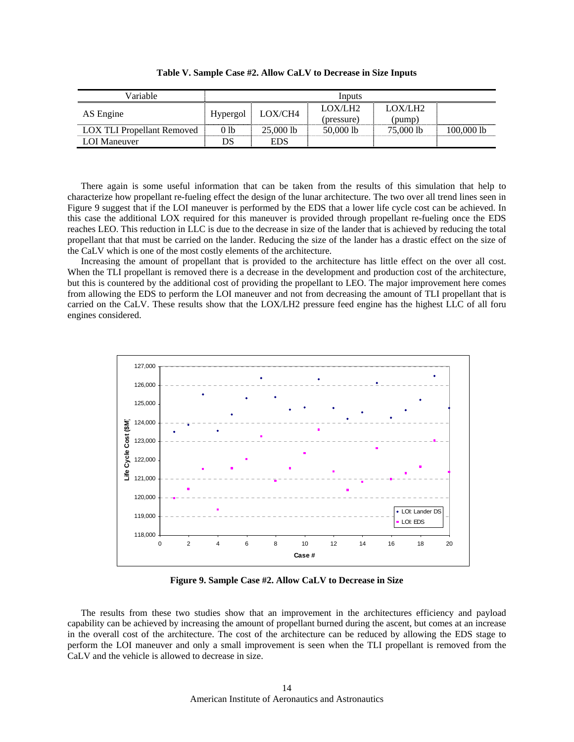| Variable                          |          |            | Inputs                            |                   |            |
|-----------------------------------|----------|------------|-----------------------------------|-------------------|------------|
| AS Engine                         | Hypergol | LOX/CH4    | LOX/LH <sub>2</sub><br>(pressure) | LOX/LH2<br>(pump) |            |
| <b>LOX TLI Propellant Removed</b> | 0 lb     | 25,000 lb  | 50,000 lb                         | 75,000 lb         | 100,000 lb |
| LOI Maneuver                      |          | <b>EDS</b> |                                   |                   |            |

**Table V. Sample Case #2. Allow CaLV to Decrease in Size Inputs** 

There again is some useful information that can be taken from the results of this simulation that help to characterize how propellant re-fueling effect the design of the lunar architecture. The two over all trend lines seen in Figure 9 suggest that if the LOI maneuver is performed by the EDS that a lower life cycle cost can be achieved. In this case the additional LOX required for this maneuver is provided through propellant re-fueling once the EDS reaches LEO. This reduction in LLC is due to the decrease in size of the lander that is achieved by reducing the total propellant that that must be carried on the lander. Reducing the size of the lander has a drastic effect on the size of the CaLV which is one of the most costly elements of the architecture.

Increasing the amount of propellant that is provided to the architecture has little effect on the over all cost. When the TLI propellant is removed there is a decrease in the development and production cost of the architecture, but this is countered by the additional cost of providing the propellant to LEO. The major improvement here comes from allowing the EDS to perform the LOI maneuver and not from decreasing the amount of TLI propellant that is carried on the CaLV. These results show that the LOX/LH2 pressure feed engine has the highest LLC of all foru engines considered.



**Figure 9. Sample Case #2. Allow CaLV to Decrease in Size** 

The results from these two studies show that an improvement in the architectures efficiency and payload capability can be achieved by increasing the amount of propellant burned during the ascent, but comes at an increase in the overall cost of the architecture. The cost of the architecture can be reduced by allowing the EDS stage to perform the LOI maneuver and only a small improvement is seen when the TLI propellant is removed from the CaLV and the vehicle is allowed to decrease in size.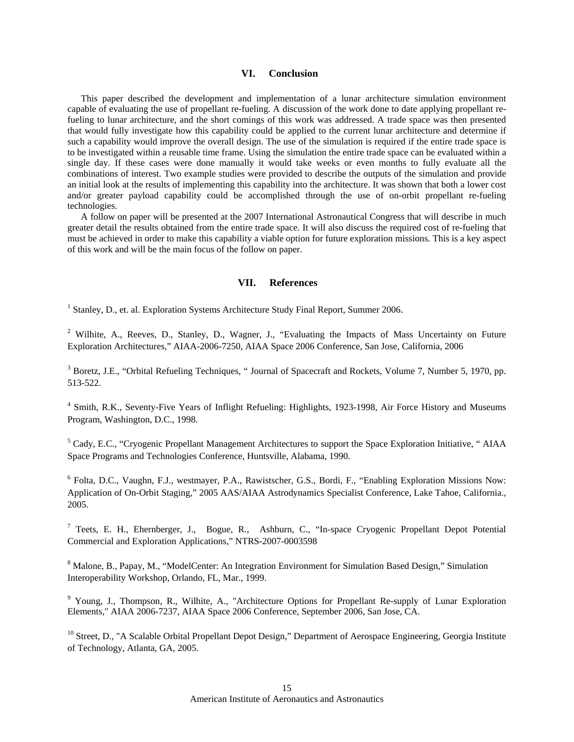# **VI. Conclusion**

This paper described the development and implementation of a lunar architecture simulation environment capable of evaluating the use of propellant re-fueling. A discussion of the work done to date applying propellant refueling to lunar architecture, and the short comings of this work was addressed. A trade space was then presented that would fully investigate how this capability could be applied to the current lunar architecture and determine if such a capability would improve the overall design. The use of the simulation is required if the entire trade space is to be investigated within a reusable time frame. Using the simulation the entire trade space can be evaluated within a single day. If these cases were done manually it would take weeks or even months to fully evaluate all the combinations of interest. Two example studies were provided to describe the outputs of the simulation and provide an initial look at the results of implementing this capability into the architecture. It was shown that both a lower cost and/or greater payload capability could be accomplished through the use of on-orbit propellant re-fueling technologies.

A follow on paper will be presented at the 2007 International Astronautical Congress that will describe in much greater detail the results obtained from the entire trade space. It will also discuss the required cost of re-fueling that must be achieved in order to make this capability a viable option for future exploration missions. This is a key aspect of this work and will be the main focus of the follow on paper.

# **VII. References**

<sup>1</sup> Stanley, D., et. al. Exploration Systems Architecture Study Final Report, Summer 2006.

<sup>2</sup> Wilhite, A., Reeves, D., Stanley, D., Wagner, J., "Evaluating the Impacts of Mass Uncertainty on Future Exploration Architectures," AIAA-2006-7250, AIAA Space 2006 Conference, San Jose, California, 2006

<sup>3</sup> Boretz, J.E., "Orbital Refueling Techniques, " Journal of Spacecraft and Rockets, Volume 7, Number 5, 1970, pp. 513-522.

<sup>4</sup> Smith, R.K., Seventy-Five Years of Inflight Refueling: Highlights, 1923-1998, Air Force History and Museums Program, Washington, D.C., 1998.

<sup>5</sup> Cady, E.C., "Cryogenic Propellant Management Architectures to support the Space Exploration Initiative, "AIAA Space Programs and Technologies Conference, Huntsville, Alabama, 1990.

<sup>6</sup> Folta, D.C., Vaughn, F.J., westmayer, P.A., Rawistscher, G.S., Bordi, F., "Enabling Exploration Missions Now: Application of On-Orbit Staging," 2005 AAS/AIAA Astrodynamics Specialist Conference, Lake Tahoe, California., 2005.

<sup>7</sup> Teets, E. H., Ehernberger, J., Bogue, R., Ashburn, C., "In-space Cryogenic Propellant Depot Potential Commercial and Exploration Applications," NTRS-2007-0003598

<sup>8</sup> Malone, B., Papay, M., "ModelCenter: An Integration Environment for Simulation Based Design," Simulation Interoperability Workshop, Orlando, FL, Mar., 1999.

<sup>9</sup> Young, J., Thompson, R., Wilhite, A., "Architecture Options for Propellant Re-supply of Lunar Exploration Elements," AIAA 2006-7237, AIAA Space 2006 Conference, September 2006, San Jose, CA.

 $10$  Street, D., "A Scalable Orbital Propellant Depot Design," Department of Aerospace Engineering, Georgia Institute of Technology, Atlanta, GA, 2005.